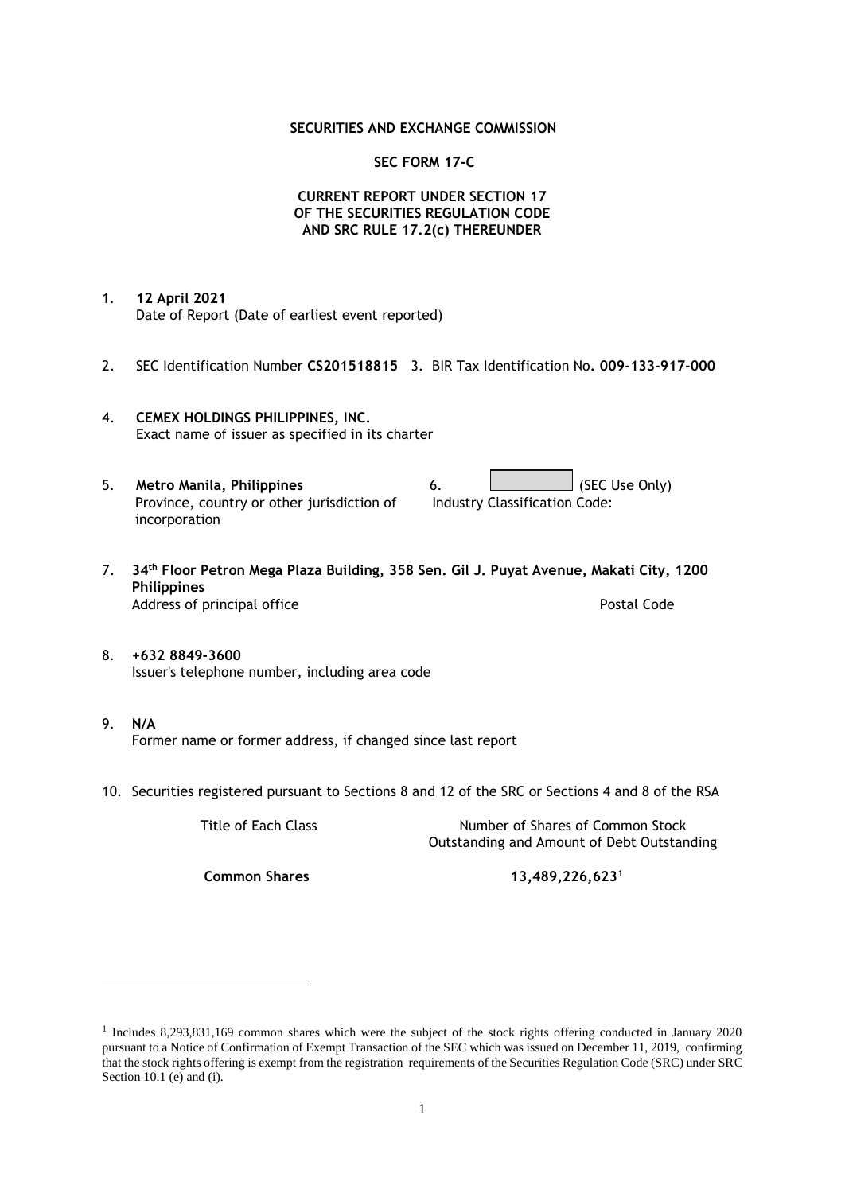### **SECURITIES AND EXCHANGE COMMISSION**

### **SEC FORM 17-C**

## **CURRENT REPORT UNDER SECTION 17 OF THE SECURITIES REGULATION CODE AND SRC RULE 17.2(c) THEREUNDER**

- 1. **12 April 2021** Date of Report (Date of earliest event reported)
- 2. SEC Identification Number **CS201518815** 3. BIR Tax Identification No**. 009-133-917-000**
- 4. **CEMEX HOLDINGS PHILIPPINES, INC.** Exact name of issuer as specified in its charter
- 5. **Metro Manila, Philippines** 6. **Consumers 6.** (SEC Use Only) Province, country or other jurisdiction of incorporation Industry Classification Code:
- 7. **34th Floor Petron Mega Plaza Building, 358 Sen. Gil J. Puyat Avenue, Makati City, 1200 Philippines** Address of principal office **Postal Code** Postal Code
- 8. **+632 8849-3600** Issuer's telephone number, including area code
- 9. **N/A** Former name or former address, if changed since last report
- 10. Securities registered pursuant to Sections 8 and 12 of the SRC or Sections 4 and 8 of the RSA

Title of Each Class Number of Shares of Common Stock Outstanding and Amount of Debt Outstanding

**Common Shares 13,489,226,623<sup>1</sup>**

<sup>1</sup> Includes 8,293,831,169 common shares which were the subject of the stock rights offering conducted in January 2020 pursuant to a Notice of Confirmation of Exempt Transaction of the SEC which was issued on December 11, 2019, confirming that the stock rights offering is exempt from the registration requirements of the Securities Regulation Code (SRC) under SRC Section 10.1 (e) and (i).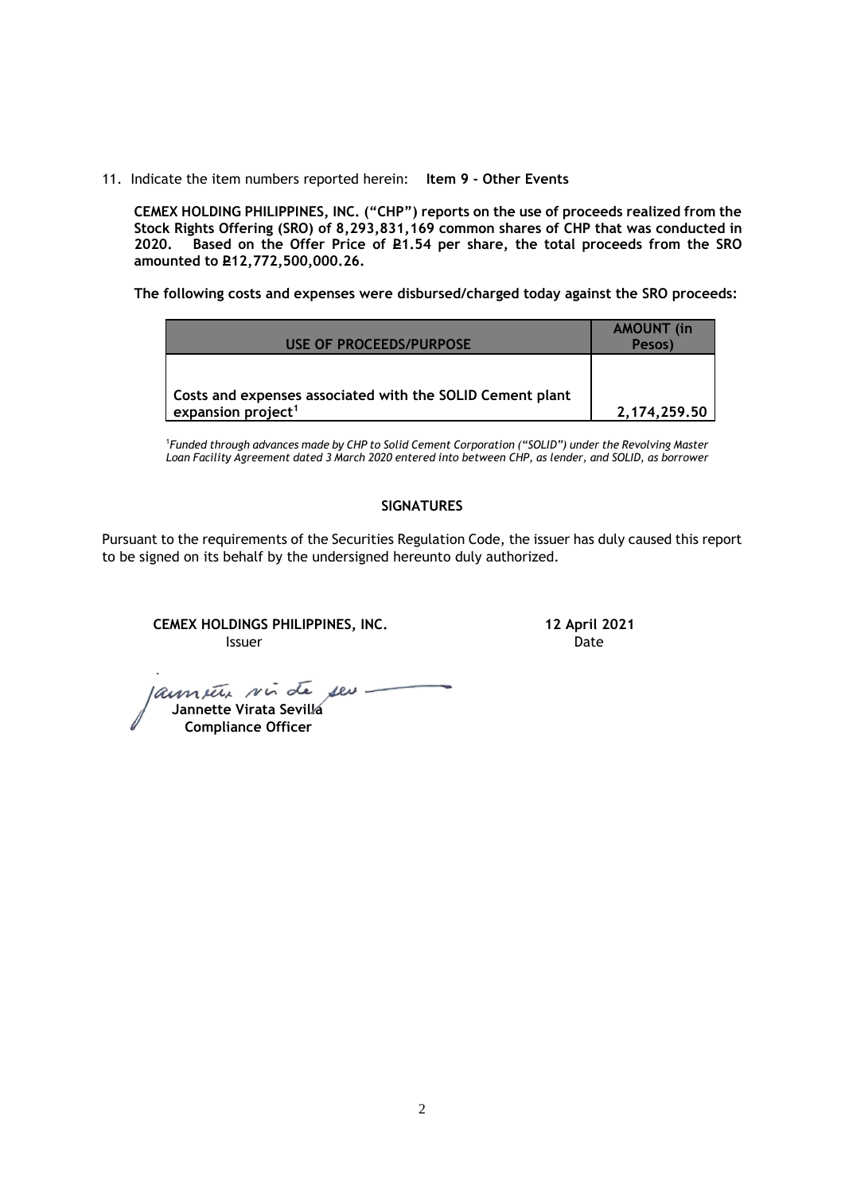11. Indicate the item numbers reported herein: **Item 9 - Other Events**

**CEMEX HOLDING PHILIPPINES, INC. ("CHP") reports on the use of proceeds realized from the Stock Rights Offering (SRO) of 8,293,831,169 common shares of CHP that was conducted in**  Based on the Offer Price of £1.54 per share, the total proceeds from the SRO **amounted to P12,772,500,000.26.** 

**The following costs and expenses were disbursed/charged today against the SRO proceeds:**

| USE OF PROCEEDS/PURPOSE                                                                     | <b>AMOUNT</b> (in<br>Pesos) |
|---------------------------------------------------------------------------------------------|-----------------------------|
|                                                                                             |                             |
| Costs and expenses associated with the SOLID Cement plant<br>expansion project <sup>1</sup> | 2,174,259.50                |

<sup>1</sup>*Funded through advances made by CHP to Solid Cement Corporation ("SOLID") under the Revolving Master Loan Facility Agreement dated 3 March 2020 entered into between CHP, as lender, and SOLID, as borrower*

## **SIGNATURES**

Pursuant to the requirements of the Securities Regulation Code, the issuer has duly caused this report to be signed on its behalf by the undersigned hereunto duly authorized.

**CEMEX HOLDINGS PHILIPPINES, INC. 12 April 2021 Issuer Date** 

 **Jannette Virata Sevilla**

 **Compliance Officer**